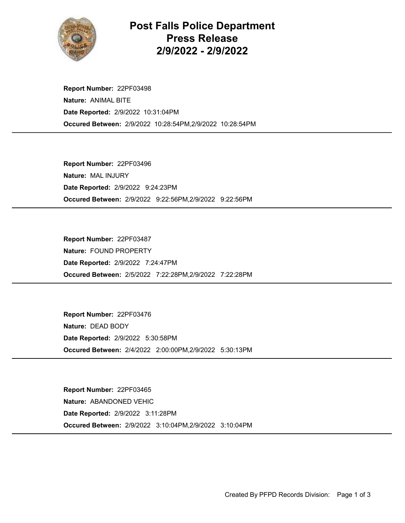

## Post Falls Police Department Press Release 2/9/2022 - 2/9/2022

Occured Between: 2/9/2022 10:28:54PM,2/9/2022 10:28:54PM Report Number: 22PF03498 Nature: ANIMAL BITE Date Reported: 2/9/2022 10:31:04PM

Occured Between: 2/9/2022 9:22:56PM,2/9/2022 9:22:56PM Report Number: 22PF03496 Nature: MAL INJURY Date Reported: 2/9/2022 9:24:23PM

Occured Between: 2/5/2022 7:22:28PM,2/9/2022 7:22:28PM Report Number: 22PF03487 Nature: FOUND PROPERTY Date Reported: 2/9/2022 7:24:47PM

Occured Between: 2/4/2022 2:00:00PM,2/9/2022 5:30:13PM Report Number: 22PF03476 Nature: DEAD BODY Date Reported: 2/9/2022 5:30:58PM

Occured Between: 2/9/2022 3:10:04PM,2/9/2022 3:10:04PM Report Number: 22PF03465 Nature: ABANDONED VEHIC Date Reported: 2/9/2022 3:11:28PM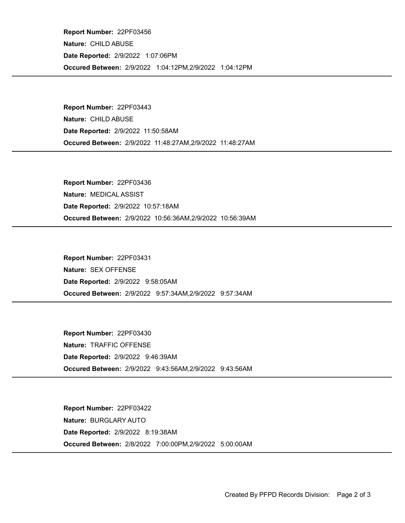Occured Between: 2/9/2022 1:04:12PM,2/9/2022 1:04:12PM Report Number: 22PF03456 Nature: CHILD ABUSE Date Reported: 2/9/2022 1:07:06PM

Occured Between: 2/9/2022 11:48:27AM,2/9/2022 11:48:27AM Report Number: 22PF03443 Nature: CHILD ABUSE Date Reported: 2/9/2022 11:50:58AM

Occured Between: 2/9/2022 10:56:36AM,2/9/2022 10:56:39AM Report Number: 22PF03436 Nature: MEDICAL ASSIST Date Reported: 2/9/2022 10:57:18AM

Occured Between: 2/9/2022 9:57:34AM,2/9/2022 9:57:34AM Report Number: 22PF03431 Nature: SEX OFFENSE Date Reported: 2/9/2022 9:58:05AM

Occured Between: 2/9/2022 9:43:56AM,2/9/2022 9:43:56AM Report Number: 22PF03430 Nature: TRAFFIC OFFENSE Date Reported: 2/9/2022 9:46:39AM

Occured Between: 2/8/2022 7:00:00PM,2/9/2022 5:00:00AM Report Number: 22PF03422 Nature: BURGLARY AUTO Date Reported: 2/9/2022 8:19:38AM